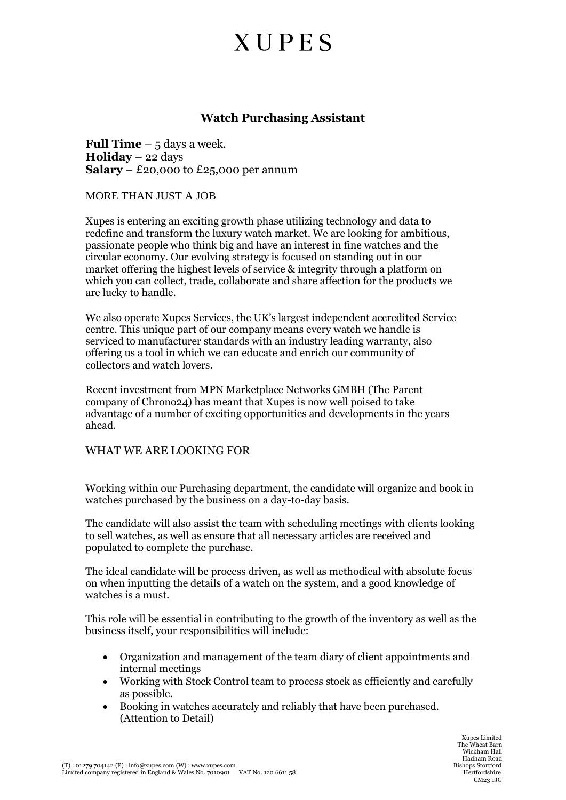## **XUPES**

### **Watch Purchasing Assistant**

**Full Time** – 5 days a week. **Holiday** – 22 days **Salary** – £20,000 to £25,000 per annum

MORE THAN JUST A JOB

Xupes is entering an exciting growth phase utilizing technology and data to redefine and transform the luxury watch market. We are looking for ambitious, passionate people who think big and have an interest in fine watches and the circular economy. Our evolving strategy is focused on standing out in our market offering the highest levels of service & integrity through a platform on which you can collect, trade, collaborate and share affection for the products we are lucky to handle.

We also operate Xupes Services, the UK's largest independent accredited Service centre. This unique part of our company means every watch we handle is serviced to manufacturer standards with an industry leading warranty, also offering us a tool in which we can educate and enrich our community of collectors and watch lovers.

Recent investment from MPN Marketplace Networks GMBH (The Parent company of Chrono24) has meant that Xupes is now well poised to take advantage of a number of exciting opportunities and developments in the years ahead.

### WHAT WE ARE LOOKING FOR

Working within our Purchasing department, the candidate will organize and book in watches purchased by the business on a day-to-day basis.

The candidate will also assist the team with scheduling meetings with clients looking to sell watches, as well as ensure that all necessary articles are received and populated to complete the purchase.

The ideal candidate will be process driven, as well as methodical with absolute focus on when inputting the details of a watch on the system, and a good knowledge of watches is a must.

This role will be essential in contributing to the growth of the inventory as well as the business itself, your responsibilities will include:

- Organization and management of the team diary of client appointments and internal meetings
- Working with Stock Control team to process stock as efficiently and carefully as possible.
- Booking in watches accurately and reliably that have been purchased. (Attention to Detail)